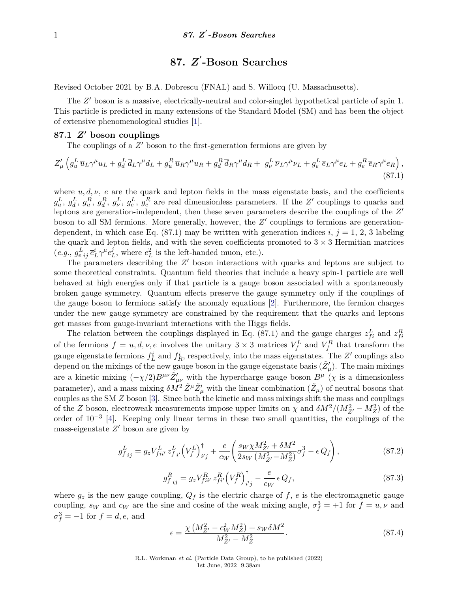# **87.** *Z* **0 -Boson Searches**

Revised October 2021 by B.A. Dobrescu (FNAL) and S. Willocq (U. Massachusetts).

The Z' boson is a massive, electrically-neutral and color-singlet hypothetical particle of spin 1. This particle is predicted in many extensions of the Standard Model (SM) and has been the object of extensive phenomenological studies [\[1\]](#page-6-0).

### **87.1** *Z***<sup>0</sup> boson couplings**

The couplings of a  $Z'$  boson to the first-generation fermions are given by

$$
Z'_{\mu}\left(g_u^L\overline{u}_L\gamma^{\mu}u_L+g_d^L\overline{d}_L\gamma^{\mu}d_L+g_u^R\overline{u}_R\gamma^{\mu}u_R+g_d^R\overline{d}_R\gamma^{\mu}d_R+g_{\nu}^L\overline{\nu}_L\gamma^{\mu}\nu_L+g_e^L\overline{e}_L\gamma^{\mu}e_L+g_e^R\overline{e}_R\gamma^{\mu}e_R\right),\tag{87.1}
$$

where  $u, d, \nu$ ,  $e$  are the quark and lepton fields in the mass eigenstate basis, and the coefficients  $g_u^L$ ,  $g_d^L$ ,  $g_u^R$ ,  $g_v^R$ ,  $g_e^L$ ,  $g_e^R$  are real dimensionless parameters. If the Z' couplings to quarks and leptons are generation-independent, then these seven parameters describe the couplings of the Z' boson to all SM fermions. More generally, however, the Z' couplings to fermions are generationdependent, in which case Eq.  $(87.1)$  may be written with generation indices *i*,  $j = 1, 2, 3$  labeling the quark and lepton fields, and with the seven coefficients promoted to  $3 \times 3$  Hermitian matrices  $(e.g., g_{e\ ij}^L\ \bar{e}_L^i\gamma^\mu e^j_I$  $L<sup>j</sup>$ , where  $e<sub>L</sub><sup>2</sup>$  is the left-handed muon, etc.).

The parameters describing the  $Z'$  boson interactions with quarks and leptons are subject to some theoretical constraints. Quantum field theories that include a heavy spin-1 particle are well behaved at high energies only if that particle is a gauge boson associated with a spontaneously broken gauge symmetry. Quantum effects preserve the gauge symmetry only if the couplings of the gauge boson to fermions satisfy the anomaly equations [\[2\]](#page-6-1). Furthermore, the fermion charges under the new gauge symmetry are constrained by the requirement that the quarks and leptons get masses from gauge-invariant interactions with the Higgs fields.

The relation between the couplings displayed in Eq. (87.1) and the gauge charges  $z_{fi}^L$  and  $z_{fi}^R$ of the fermions  $f = u, d, \nu, e$  involves the unitary  $3 \times 3$  matrices  $V_f^L$  and  $V_f^R$  that transform the gauge eigenstate fermions  $f_L^i$  and  $f_R^i$ , respectively, into the mass eigenstates. The  $Z'$  couplings also depend on the mixings of the new gauge boson in the gauge eigenstate basis  $(\tilde{Z}'_\mu)$ . The main mixings are a kinetic mixing  $(-\chi/2)B^{\mu\nu}\tilde{Z}^{\prime}_{\mu\nu}$  with the hypercharge gauge boson  $B^{\mu}(\chi)$  is a dimensionless parameter), and a mass mixing  $\delta M^2 \tilde{Z}^\mu \tilde{Z}'_\mu$  with the linear combination  $(\tilde{Z}_\mu)$  of neutral bosons that couples as the SM *Z* boson [\[3\]](#page-6-2). Since both the kinetic and mass mixings shift the mass and couplings of the *Z* boson, electroweak measurements impose upper limits on  $\chi$  and  $\delta M^2/(M_{Z'}^2 - M_Z^2)$  of the order of 10−<sup>3</sup> [\[4\]](#page-6-3). Keeping only linear terms in these two small quantities, the couplings of the mass-eigenstate  $Z'$  boson are given by

$$
g_{f\,ij}^{L} = g_z V_{fii'}^{L} z_{f\,i'}^{L} \left(V_f^L\right)_{i'j}^{\dagger} + \frac{e}{c_W} \left(\frac{s_W \chi M_{Z'}^2 + \delta M^2}{2s_W \left(M_{Z'}^2 - M_Z^2\right)} \sigma_f^3 - \epsilon Q_f\right),\tag{87.2}
$$

$$
g_{f\ ij}^{R} = g_{z} V_{fii'}^{R} z_{fi'}^{R} (V_{f}^{R})_{i'j}^{\dagger} - \frac{e}{c_{W}} \epsilon Q_{f}, \tag{87.3}
$$

where  $g_z$  is the new gauge coupling,  $Q_f$  is the electric charge of  $f$ ,  $e$  is the electromagnetic gauge coupling, *s<sub>W</sub>* and *c<sub>W</sub>* are the sine and cosine of the weak mixing angle,  $\sigma_f^3 = +1$  for  $f = u, \nu$  and  $\sigma_f^3 = -1$  for  $f = d, e$ , and

$$
\epsilon = \frac{\chi \left(M_{Z'}^2 - c_W^2 M_Z^2\right) + s_W \delta M^2}{M_{Z'}^2 - M_Z^2}.
$$
\n(87.4)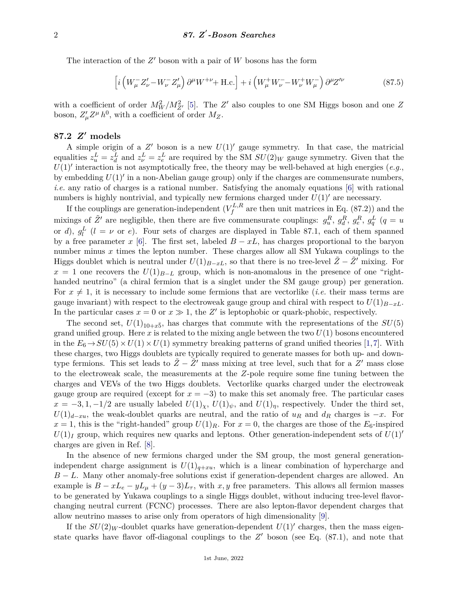The interaction of the  $Z'$  boson with a pair of  $W$  bosons has the form

$$
\left[i\left(W_{\mu}^{-}Z_{\nu}^{\prime}-W_{\nu}^{-}Z_{\mu}^{\prime}\right)\partial^{\mu}W^{+\nu}+\text{H.c.}\right]+i\left(W_{\mu}^{+}W_{\nu}^{-}-W_{\nu}^{+}W_{\mu}^{-}\right)\partial^{\mu}Z^{\prime\nu}\tag{87.5}
$$

with a coefficient of order  $M_W^2/M_{Z'}^2$  [\[5\]](#page-6-4). The  $Z'$  also couples to one SM Higgs boson and one  $Z$ boson,  $Z^{\prime}_{\mu} Z^{\mu} h^0$ , with a coefficient of order  $M_Z$ .

### **87.2** *Z***<sup>0</sup> models**

A simple origin of a  $Z'$  boson is a new  $U(1)'$  gauge symmetry. In that case, the matricial equalities  $z_u^L = z_d^L$  and  $z_v^L = z_e^L$  are required by the SM  $SU(2)_W$  gauge symmetry. Given that the  $U(1)$ <sup>'</sup> interaction is not asymptotically free, the theory may be well-behaved at high energies (*e.g.*, by embedding  $U(1)'$  in a non-Abelian gauge group) only if the charges are commensurate numbers, *i.e.* any ratio of charges is a rational number. Satisfying the anomaly equations [\[6\]](#page-7-0) with rational numbers is highly nontrivial, and typically new fermions charged under  $U(1)$ <sup>'</sup> are necessary.

If the couplings are generation-independent  $(V_f^{L,R})$  $f_f^{L,R}$  are then unit matrices in Eq. (87.2)) and the mixings of  $\tilde{Z}'$  are negligible, then there are five commensurate couplings:  $g_u^R$ ,  $g_d^R$ ,  $g_e^R$ ,  $g_q^L$  ( $q = u$ or *d*),  $g_l^L$  (*l* = *v* or *e*). Four sets of charges are displayed in Table 87.1, each of them spanned by a free parameter *x* [\[6\]](#page-7-0). The first set, labeled  $B - xL$ , has charges proportional to the baryon number minus x times the lepton number. These charges allow all SM Yukawa couplings to the Higgs doublet which is neutral under  $U(1)_{B-xL}$ , so that there is no tree-level  $\tilde{Z} - \tilde{Z}'$  mixing. For  $x = 1$  one recovers the  $U(1)_{B-L}$  group, which is non-anomalous in the presence of one "righthanded neutrino" (a chiral fermion that is a singlet under the SM gauge group) per generation. For  $x \neq 1$ , it is necessary to include some fermions that are vectorlike (*i.e.* their mass terms are gauge invariant) with respect to the electroweak gauge group and chiral with respect to  $U(1)_{B-xL}$ . In the particular cases  $x = 0$  or  $x \gg 1$ , the Z' is leptophobic or quark-phobic, respectively.

The second set,  $U(1)_{10+x\bar{5}}$ , has charges that commute with the representations of the  $SU(5)$ grand unified group. Here  $x$  is related to the mixing angle between the two  $U(1)$  bosons encountered in the  $E_6 \to SU(5) \times U(1) \times U(1)$  symmetry breaking patterns of grand unified theories [\[1,](#page-6-0)[7\]](#page-7-1). With these charges, two Higgs doublets are typically required to generate masses for both up- and downtype fermions. This set leads to  $\tilde{Z} - \tilde{Z}'$  mass mixing at tree level, such that for a  $Z'$  mass close to the electroweak scale, the measurements at the *Z*-pole require some fine tuning between the charges and VEVs of the two Higgs doublets. Vectorlike quarks charged under the electroweak gauge group are required (except for  $x = -3$ ) to make this set anomaly free. The particular cases  $x = -3, 1, -1/2$  are usually labeled  $U(1)_\chi$ ,  $U(1)_\psi$ , and  $U(1)_\eta$ , respectively. Under the third set,  $U(1)_{d-xu}$ , the weak-doublet quarks are neutral, and the ratio of  $u_R$  and  $d_R$  charges is  $-x$ . For  $x = 1$ , this is the "right-handed" group  $U(1)_R$ . For  $x = 0$ , the charges are those of the  $E_6$ -inspired  $U(1)<sub>I</sub>$  group, which requires new quarks and leptons. Other generation-independent sets of  $U(1)$ <sup>*'*</sup> charges are given in Ref. [\[8\]](#page-7-2).

In the absence of new fermions charged under the SM group, the most general generationindependent charge assignment is  $U(1)_{q+xu}$ , which is a linear combination of hypercharge and *B* − *L*. Many other anomaly-free solutions exist if generation-dependent charges are allowed. An example is  $B - xL_e - yL_\mu + (y - 3)L_\tau$ , with *x*, *y* free parameters. This allows all fermion masses to be generated by Yukawa couplings to a single Higgs doublet, without inducing tree-level flavorchanging neutral current (FCNC) processes. There are also lepton-flavor dependent charges that allow neutrino masses to arise only from operators of high dimensionality [\[9\]](#page-7-3).

If the  $SU(2)_W$ -doublet quarks have generation-dependent  $U(1)'$  charges, then the mass eigenstate quarks have flavor off-diagonal couplings to the  $Z'$  boson (see Eq.  $(87.1)$ , and note that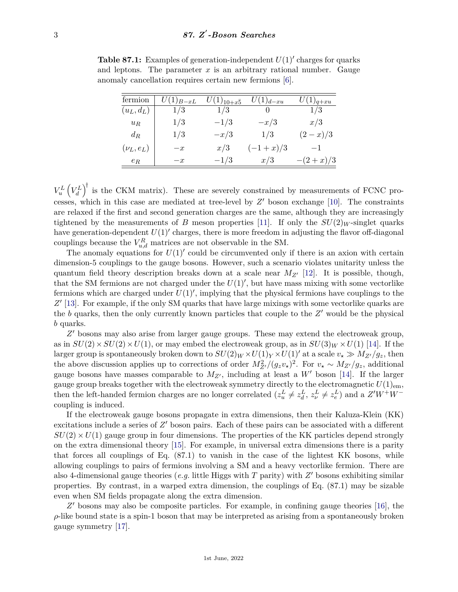**Table 87.1:** Examples of generation-independent  $U(1)$ <sup>'</sup> charges for quarks and leptons. The parameter  $x$  is an arbitrary rational number. Gauge anomaly cancellation requires certain new fermions [\[6\]](#page-7-0).

| fermion       | $U(1)_{B-xL}$ | $U(1)_{10+x\bar{5}}$ | $U(1)_{d-xu}$ | $U(1)_{q+xy}$ |
|---------------|---------------|----------------------|---------------|---------------|
| $(u_L, d_L)$  | 1/3           | 1/3                  |               | 1/3           |
| $u_R$         | 1/3           | $-1/3$               | $-x/3$        | x/3           |
| $d_R$         | 1/3           | $-x/3$               | 1/3           | $(2-x)/3$     |
| $(\nu_L,e_L)$ | $-x$          | x/3                  | $(-1+x)/3$    | $-1$          |
| $e_R$         | $-x$          | $-1/3$               | x/3           | $-(2+x)/3$    |

 $V_u^L$   $(V_d^L)^{\dagger}$  is the CKM matrix). These are severely constrained by measurements of FCNC processes, which in this case are mediated at tree-level by  $Z'$  boson exchange [\[10\]](#page-7-4). The constraints are relaxed if the first and second generation charges are the same, although they are increasingly tightened by the measurements of *B* meson properties [\[11\]](#page-7-5). If only the  $SU(2)_W$ -singlet quarks have generation-dependent  $U(1)'$  charges, there is more freedom in adjusting the flavor off-diagonal couplings because the  $V_{u,d}^R$  matrices are not observable in the SM.

The anomaly equations for  $U(1)$ <sup>'</sup> could be circumvented only if there is an axion with certain dimension-5 couplings to the gauge bosons. However, such a scenario violates unitarity unless the quantum field theory description breaks down at a scale near  $M_{Z}$ <sup>[\[12\]](#page-7-6)</sup>. It is possible, though, that the SM fermions are not charged under the  $U(1)'$ , but have mass mixing with some vectorlike fermions which are charged under  $U(1)'$ , implying that the physical fermions have couplings to the Z' [\[13\]](#page-7-7). For example, if the only SM quarks that have large mixings with some vectorlike quarks are the  $b$  quarks, then the only currently known particles that couple to the  $Z'$  would be the physical *b* quarks.

Z' bosons may also arise from larger gauge groups. These may extend the electroweak group, as in  $SU(2) \times SU(2) \times U(1)$ , or may embed the electroweak group, as in  $SU(3)_W \times U(1)$  [\[14\]](#page-7-8). If the larger group is spontaneously broken down to  $SU(2)_W \times U(1)_Y \times U(1)'$  at a scale  $v_* \gg M_{Z'}/g_z$ , then the above discussion applies up to corrections of order  $M_{Z'}^2/(g_z v_\star)^2$ . For  $v_\star \sim M_{Z'}/g_z$ , additional gauge bosons have masses comparable to  $M_{Z}$ , including at least a W<sup>'</sup> boson [\[14\]](#page-7-8). If the larger gauge group breaks together with the electroweak symmetry directly to the electromagnetic  $U(1)_{\rm em}$ , then the left-handed fermion charges are no longer correlated  $(z_u^L \neq z_d^L, z_v^L \neq z_e^L)$  and a  $Z'W^+W^$ coupling is induced.

If the electroweak gauge bosons propagate in extra dimensions, then their Kaluza-Klein (KK) excitations include a series of  $Z'$  boson pairs. Each of these pairs can be associated with a different  $SU(2) \times U(1)$  gauge group in four dimensions. The properties of the KK particles depend strongly on the extra dimensional theory [\[15\]](#page-7-9). For example, in universal extra dimensions there is a parity that forces all couplings of Eq. (87.1) to vanish in the case of the lightest KK bosons, while allowing couplings to pairs of fermions involving a SM and a heavy vectorlike fermion. There are also 4-dimensional gauge theories (*e.g.* little Higgs with *T* parity) with *Z'* bosons exhibiting similar properties. By contrast, in a warped extra dimension, the couplings of Eq. (87.1) may be sizable even when SM fields propagate along the extra dimension.

Z' bosons may also be composite particles. For example, in confining gauge theories [\[16\]](#page-7-10), the  $\rho$ -like bound state is a spin-1 boson that may be interpreted as arising from a spontaneously broken gauge symmetry [\[17\]](#page-7-11).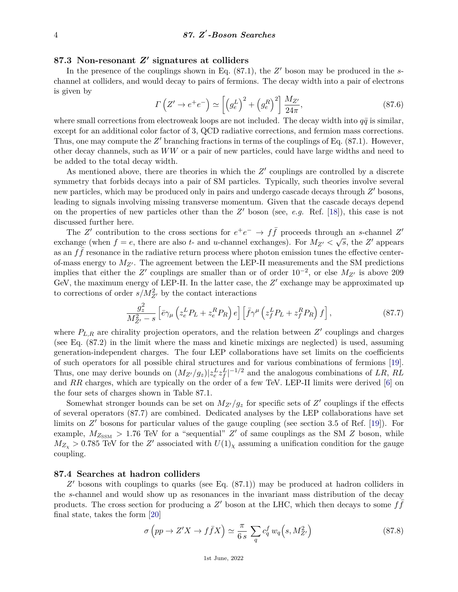## **87.3 Non-resonant** *Z***<sup>0</sup> signatures at colliders**

In the presence of the couplings shown in Eq.  $(87.1)$ , the  $Z'$  boson may be produced in the *s*channel at colliders, and would decay to pairs of fermions. The decay width into a pair of electrons is given by

$$
\Gamma\left(Z'\to e^+e^-\right) \simeq \left[\left(g_e^L\right)^2 + \left(g_e^R\right)^2\right] \frac{M_{Z'}}{24\pi},\tag{87.6}
$$

where small corrections from electroweak loops are not included. The decay width into  $q\bar{q}$  is similar, except for an additional color factor of 3, QCD radiative corrections, and fermion mass corrections. Thus, one may compute the  $Z'$  branching fractions in terms of the couplings of Eq.  $(87.1)$ . However, other decay channels, such as *WW* or a pair of new particles, could have large widths and need to be added to the total decay width.

As mentioned above, there are theories in which the  $Z'$  couplings are controlled by a discrete symmetry that forbids decays into a pair of SM particles. Typically, such theories involve several new particles, which may be produced only in pairs and undergo cascade decays through  $Z'$  bosons, leading to signals involving missing transverse momentum. Given that the cascade decays depend on the properties of new particles other than the  $Z'$  boson (see, *e.g.* Ref. [\[18\]](#page-7-12)), this case is not discussed further here.

The *Z*' contribution to the cross sections for  $e^+e^- \to f\bar{f}$  proceeds through an *s*-channel *Z'* exchange (when  $f = e$ , there are also  $t$ - and *u*-channel exchanges). For  $M_{Z'} < \sqrt{s}$ , the  $Z'$  appears as an  $f\bar{f}$  resonance in the radiative return process where photon emission tunes the effective centerof-mass energy to  $M_{Z'}$ . The agreement between the LEP-II measurements and the SM predictions implies that either the *Z'* couplings are smaller than or of order  $10^{-2}$ , or else  $M_{Z'}$  is above 209 GeV, the maximum energy of LEP-II. In the latter case, the  $Z'$  exchange may be approximated up to corrections of order  $s/M_{Z'}^2$  by the contact interactions

$$
\frac{g_z^2}{M_{Z'}^2 - s} \left[ \bar{e} \gamma_\mu \left( z_e^L P_L + z_e^R P_R \right) e \right] \left[ \bar{f} \gamma^\mu \left( z_f^L P_L + z_f^R P_R \right) f \right],\tag{87.7}
$$

where  $P_{L,R}$  are chirality projection operators, and the relation between  $Z'$  couplings and charges (see Eq. (87.2) in the limit where the mass and kinetic mixings are neglected) is used, assuming generation-independent charges. The four LEP collaborations have set limits on the coefficients of such operators for all possible chiral structures and for various combinations of fermions [\[19\]](#page-7-13). Thus, one may derive bounds on  $(M_{Z'}/g_z)|z_e^L z_f^L|^{-1/2}$  and the analogous combinations of *LR*, *RL* and *RR* charges, which are typically on the order of a few TeV. LEP-II limits were derived [\[6\]](#page-7-0) on the four sets of charges shown in Table 87.1.

Somewhat stronger bounds can be set on  $M_{Z'}/g_z$  for specific sets of  $Z'$  couplings if the effects of several operators (87.7) are combined. Dedicated analyses by the LEP collaborations have set limits on Z' bosons for particular values of the gauge coupling (see section 3.5 of Ref. [\[19\]](#page-7-13)). For example,  $M_{Z_{\text{SSM}}} > 1.76$  TeV for a "sequential"  $Z'$  of same couplings as the SM  $Z$  boson, while  $M_{Z_{\chi}} > 0.785$  TeV for the *Z*' associated with  $U(1)_{\chi}$  assuming a unification condition for the gauge coupling.

### **87.4 Searches at hadron colliders**

Z' bosons with couplings to quarks (see Eq. (87.1)) may be produced at hadron colliders in the *s*-channel and would show up as resonances in the invariant mass distribution of the decay products. The cross section for producing a  $Z'$  boson at the LHC, which then decays to some  $f\bar{f}$ final state, takes the form [\[20\]](#page-7-14)

$$
\sigma\left(pp \to Z'X \to f\bar{f}X\right) \simeq \frac{\pi}{6\,s} \sum_{q} c_q^f w_q\Big(s, M_{Z'}^2\Big) \tag{87.8}
$$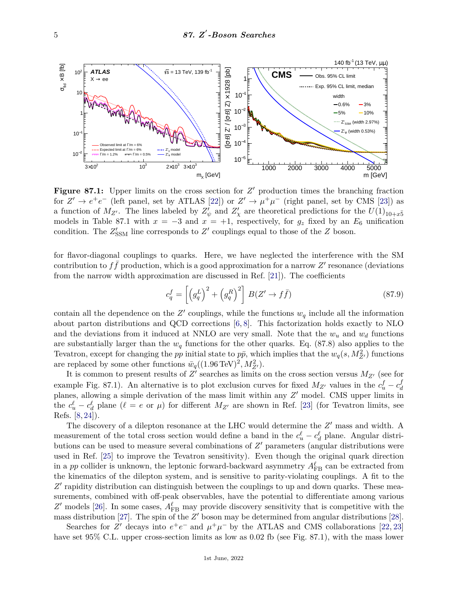

**Figure 87.1:** Upper limits on the cross section for  $Z'$  production times the branching fraction for  $Z' \to e^+e^-$  (left panel, set by ATLAS [\[22\]](#page-7-15)) or  $Z' \to \mu^+\mu^-$  (right panel, set by CMS [\[23\]](#page-7-16)) as a function of  $M_{Z'}$ . The lines labeled by  $Z'_{\psi}$  and  $Z'_{\chi}$  are theoretical predictions for the  $U(1)_{10+x\bar{5}}$ models in Table 87.1 with  $x = -3$  and  $x = +1$ , respectively, for  $g_z$  fixed by an  $E_6$  unification condition. The  $Z'_{SSM}$  line corresponds to  $Z'$  couplings equal to those of the  $Z$  boson.

for flavor-diagonal couplings to quarks. Here, we have neglected the interference with the SM contribution to  $f\bar{f}$  production, which is a good approximation for a narrow  $Z'$  resonance (deviations from the narrow width approximation are discussed in Ref. [\[21\]](#page-7-17)). The coefficients

$$
c_q^f = \left[ \left( g_q^L \right)^2 + \left( g_q^R \right)^2 \right] B(Z' \to f\bar{f}) \tag{87.9}
$$

contain all the dependence on the  $Z'$  couplings, while the functions  $w_q$  include all the information about parton distributions and QCD corrections [\[6,](#page-7-0) [8\]](#page-7-2). This factorization holds exactly to NLO and the deviations from it induced at NNLO are very small. Note that the  $w_u$  and  $w_d$  functions are substantially larger than the  $w_q$  functions for the other quarks. Eq. (87.8) also applies to the Tevatron, except for changing the *pp* initial state to  $p\bar{p}$ , which implies that the  $w_q(s, M_{Z'}^2)$  functions are replaced by some other functions  $\bar{w}_q((1.96 \text{ TeV})^2, M_{Z'}^2)$ .

It is common to present results of  $Z'$  searches as limits on the cross section versus  $M_{Z'}$  (see for example Fig. 87.1). An alternative is to plot exclusion curves for fixed  $M_{Z'}$  values in the  $c<sub>u</sub><sup>f</sup> - c<sub>d</sub><sup>f</sup>$ *d* planes, allowing a simple derivation of the mass limit within any  $Z'$  model. CMS upper limits in the  $c_u^{\ell} - c_d^{\ell}$  plane ( $\ell = e$  or  $\mu$ ) for different  $M_{Z'}$  are shown in Ref. [\[23\]](#page-7-16) (for Tevatron limits, see Refs. [\[8,](#page-7-2) [24\]](#page-7-18)).

The discovery of a dilepton resonance at the LHC would determine the  $Z'$  mass and width. A measurement of the total cross section would define a band in the  $c_u^{\ell} - c_d^{\ell}$  plane. Angular distributions can be used to measure several combinations of  $Z'$  parameters (angular distributions were used in Ref. [\[25\]](#page-7-19) to improve the Tevatron sensitivity). Even though the original quark direction in a *pp* collider is unknown, the leptonic forward-backward asymmetry  $A_{\text{FB}}^{\ell}$  can be extracted from the kinematics of the dilepton system, and is sensitive to parity-violating couplings. A fit to the Z' rapidity distribution can distinguish between the couplings to up and down quarks. These measurements, combined with off-peak observables, have the potential to differentiate among various  $Z'$  models [\[26\]](#page-7-20). In some cases,  $A_{\text{FB}}^{\ell}$  may provide discovery sensitivity that is competitive with the mass distribution [\[27\]](#page-7-21). The spin of the  $Z'$  boson may be determined from angular distributions [\[28\]](#page-7-22).

Searches for *Z*<sup>'</sup> decays into  $e^+e^-$  and  $\mu^+\mu^-$  by the ATLAS and CMS collaborations [\[22,](#page-7-15) [23\]](#page-7-16) have set 95% C.L. upper cross-section limits as low as 0.02 fb (see Fig. 87.1), with the mass lower

1st June, 2022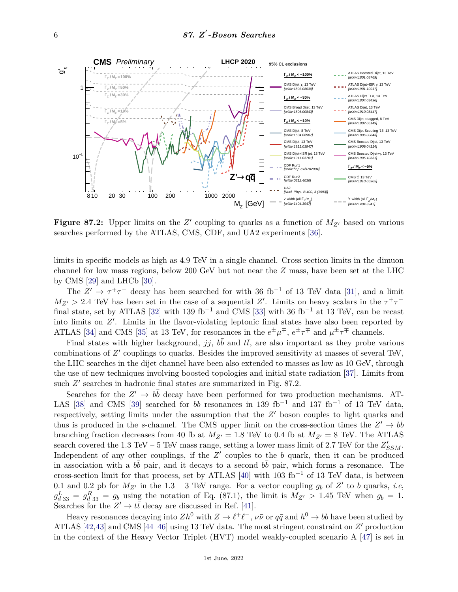

**Figure 87.2:** Upper limits on the  $Z'$  coupling to quarks as a function of  $M_{Z'}$  based on various searches performed by the ATLAS, CMS, CDF, and UA2 experiments [\[36\]](#page-7-23).

limits in specific models as high as 4.9 TeV in a single channel. Cross section limits in the dimuon channel for low mass regions, below 200 GeV but not near the *Z* mass, have been set at the LHC by CMS [\[29\]](#page-7-24) and LHCb [\[30\]](#page-7-25).

The  $Z' \rightarrow \tau^+\tau^-$  decay has been searched for with 36 fb<sup>-1</sup> of 13 TeV data [\[31\]](#page-7-26), and a limit  $M_{Z'} > 2.4$  TeV has been set in the case of a sequential *Z'*. Limits on heavy scalars in the  $\tau^+\tau^-$ final state, set by ATLAS [\[32\]](#page-7-27) with 139 fb<sup>-1</sup> and CMS [\[33\]](#page-7-28) with 36 fb<sup>-1</sup> at 13 TeV, can be recast into limits on Z'. Limits in the flavor-violating leptonic final states have also been reported by ATLAS [\[34\]](#page-7-29) and CMS [\[35\]](#page-7-30) at 13 TeV, for resonances in the  $e^{\pm}\mu^{\mp}$ ,  $e^{\pm}\tau^{\mp}$  and  $\mu^{\pm}\tau^{\mp}$  channels.

Final states with higher background,  $jj$ ,  $b\bar{b}$  and  $t\bar{t}$ , are also important as they probe various combinations of Z' couplings to quarks. Besides the improved sensitivity at masses of several TeV, the LHC searches in the dijet channel have been also extended to masses as low as 10 GeV, through the use of new techniques involving boosted topologies and initial state radiation [\[37\]](#page-7-31). Limits from such  $Z'$  searches in hadronic final states are summarized in Fig. 87.2.

Searches for the  $Z' \to b\bar{b}$  decay have been performed for two production mechanisms. AT-LAS [\[38\]](#page-7-32) and CMS [\[39\]](#page-7-33) searched for  $b\bar{b}$  resonances in 139 fb<sup>-1</sup> and 137 fb<sup>-1</sup> of 13 TeV data, respectively, setting limits under the assumption that the  $Z'$  boson couples to light quarks and thus is produced in the *s*-channel. The CMS upper limit on the cross-section times the  $Z' \to b\bar{b}$ branching fraction decreases from 40 fb at  $M_{Z'} = 1.8$  TeV to 0.4 fb at  $M_{Z'} = 8$  TeV. The ATLAS search covered the 1.3 TeV – 5 TeV mass range, setting a lower mass limit of 2.7 TeV for the  $Z'_{SSM}$ . Independent of any other couplings, if the  $Z'$  couples to the  $b$  quark, then it can be produced in association with a  $b\bar{b}$  pair, and it decays to a second  $b\bar{b}$  pair, which forms a resonance. The cross-section limit for that process, set by ATLAS [\[40\]](#page-7-34) with 103 fb<sup>-1</sup> of 13 TeV data, is between 0.1 and 0.2 pb for  $M_{Z'}$  in the 1.3 – 3 TeV range. For a vector coupling  $g_b$  of  $Z'$  to *b* quarks, *i.e*,  $g_{d33}^L = g_{d33}^R = g_b$  using the notation of Eq. (87.1), the limit is  $M_{Z'} > 1.45$  TeV when  $g_b = 1$ . Searches for the  $Z' \to t\bar{t}$  decay are discussed in Ref. [\[41\]](#page-7-35).

Heavy resonances decaying into  $Zh^0$  with  $Z \to \ell^+ \ell^-$ ,  $\nu\bar{\nu}$  or  $q\bar{q}$  and  $h^0 \to b\bar{b}$  have been studied by ATLAS [\[42,](#page-7-36)[43\]](#page-7-37) and CMS [44-[46\]](#page-8-1) using 13 TeV data. The most stringent constraint on  $Z'$  production in the context of the Heavy Vector Triplet (HVT) model weakly-coupled scenario A [\[47\]](#page-8-2) is set in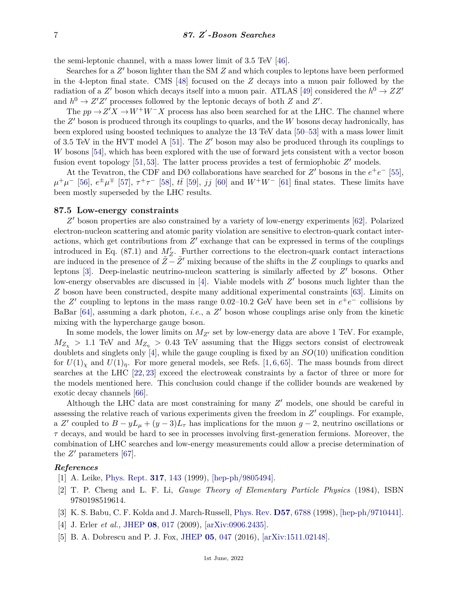the semi-leptonic channel, with a mass lower limit of 3.5 TeV [\[46\]](#page-8-1).

Searches for a  $Z'$  boson lighter than the SM  $Z$  and which couples to leptons have been performed in the 4-lepton final state. CMS [\[48\]](#page-8-3) focused on the *Z* decays into a muon pair followed by the radiation of a  $Z'$  boson which decays itself into a muon pair. ATLAS [\[49\]](#page-8-4) considered the  $h^0 \to ZZ'$ and  $h^0 \to Z'Z'$  processes followed by the leptonic decays of both *Z* and *Z'*.

The  $pp \rightarrow Z'X \rightarrow W^+W^-X$  process has also been searched for at the LHC. The channel where the Z' boson is produced through its couplings to quarks, and the W bosons decay hadronically, has been explored using boosted techniques to analyze the 13 TeV data [\[50–](#page-8-5)[53\]](#page-8-6) with a mass lower limit of 3.5 TeV in the HVT model A  $[51]$ . The  $Z'$  boson may also be produced through its couplings to *W* bosons [\[54\]](#page-8-8), which has been explored with the use of forward jets consistent with a vector boson fusion event topology  $[51, 53]$  $[51, 53]$  $[51, 53]$ . The latter process provides a test of fermiophobic  $Z'$  models.

At the Tevatron, the CDF and DØ collaborations have searched for  $Z'$  bosons in the  $e^+e^-$  [\[55\]](#page-8-9),  $\mu^+\mu^-$  [\[56\]](#page-8-10),  $e^{\pm}\mu^{\mp}$  [\[57\]](#page-8-11),  $\tau^+\tau^-$  [\[58\]](#page-8-12),  $t\bar{t}$  [\[59\]](#page-8-13),  $jj$  [\[60\]](#page-8-14) and  $W^+W^-$  [\[61\]](#page-8-15) final states. These limits have been mostly superseded by the LHC results.

#### **87.5 Low-energy constraints**

Z' boson properties are also constrained by a variety of low-energy experiments [\[62\]](#page-8-16). Polarized electron-nucleon scattering and atomic parity violation are sensitive to electron-quark contact interactions, which get contributions from  $Z'$  exchange that can be expressed in terms of the couplings introduced in Eq.  $(87.1)$  and  $M'_Z$ . Further corrections to the electron-quark contact interactions are induced in the presence of  $\tilde{Z} - \tilde{Z}'$  mixing because of the shifts in the *Z* couplings to quarks and leptons [\[3\]](#page-6-2). Deep-inelastic neutrino-nucleon scattering is similarly affected by  $Z'$  bosons. Other low-energy observables are discussed in [\[4\]](#page-6-3). Viable models with  $Z'$  bosons much lighter than the *Z* boson have been constructed, despite many additional experimental constraints [\[63\]](#page-8-17). Limits on the *Z'* coupling to leptons in the mass range 0.02–10.2 GeV have been set in  $e^+e^-$  collisions by BaBar  $[64]$ , assuming a dark photon, *i.e.*, a  $Z'$  boson whose couplings arise only from the kinetic mixing with the hypercharge gauge boson.

In some models, the lower limits on  $M_{Z}$  set by low-energy data are above 1 TeV. For example,  $M_{Z_{\chi}} > 1.1$  TeV and  $M_{Z_{\eta}} > 0.43$  TeV assuming that the Higgs sectors consist of electroweak doublets and singlets only [\[4\]](#page-6-3), while the gauge coupling is fixed by an *SO*(10) unification condition for  $U(1)_\chi$  and  $U(1)_\eta$ . For more general models, see Refs. [\[1,](#page-6-0) [6,](#page-7-0) [65\]](#page-8-19). The mass bounds from direct searches at the LHC [\[22,](#page-7-15) [23\]](#page-7-16) exceed the electroweak constraints by a factor of three or more for the models mentioned here. This conclusion could change if the collider bounds are weakened by exotic decay channels [\[66\]](#page-8-20).

Although the LHC data are most constraining for many  $Z'$  models, one should be careful in assessing the relative reach of various experiments given the freedom in  $Z'$  couplings. For example, a *Z'* coupled to  $B - yL<sub>\mu</sub> + (y - 3)L<sub>\tau</sub>$  has implications for the muon  $g - 2$ , neutrino oscillations or *τ* decays, and would be hard to see in processes involving first-generation fermions. Moreover, the combination of LHC searches and low-energy measurements could allow a precise determination of the  $Z'$  parameters [\[67\]](#page-8-21).

### <span id="page-6-0"></span>*References*

- [1] A. Leike, [Phys. Rept.](http://doi.org/10.1016/S0370-1573(98)00133-1) **317**[, 143](http://doi.org/10.1016/S0370-1573(98)00133-1) (1999), [\[hep-ph/9805494\].](https://arxiv.org/abs/hep-ph/9805494)
- <span id="page-6-1"></span>[2] T. P. Cheng and L. F. Li, *Gauge Theory of Elementary Particle Physics* (1984), ISBN 9780198519614.
- <span id="page-6-2"></span>[3] K. S. Babu, C. F. Kolda and J. March-Russell, [Phys. Rev.](http://doi.org/10.1103/PhysRevD.57.6788) **D57**[, 6788](http://doi.org/10.1103/PhysRevD.57.6788) (1998), [\[hep-ph/9710441\].](https://arxiv.org/abs/hep-ph/9710441)
- <span id="page-6-3"></span>[4] J. Erler *et al.*, [JHEP](http://doi.org/10.1088/1126-6708/2009/08/017) **08**[, 017](http://doi.org/10.1088/1126-6708/2009/08/017) (2009), [\[arXiv:0906.2435\].](https://arxiv.org/abs/0906.2435)
- <span id="page-6-4"></span>[5] B. A. Dobrescu and P. J. Fox, [JHEP](http://doi.org/10.1007/JHEP05(2016)047) **05**[, 047](http://doi.org/10.1007/JHEP05(2016)047) (2016), [\[arXiv:1511.02148\].](https://arxiv.org/abs/1511.02148)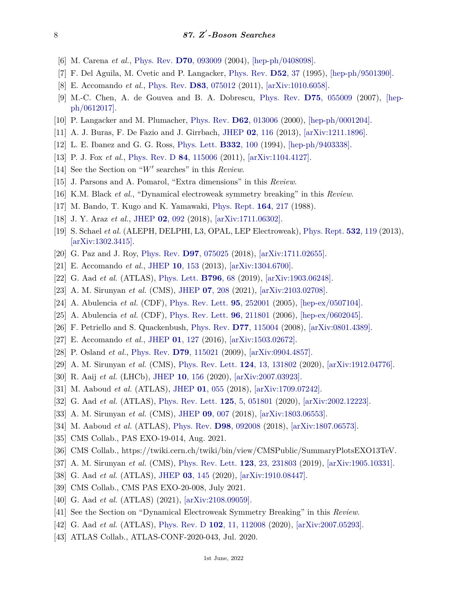- <span id="page-7-0"></span>[6] M. Carena *et al.*, [Phys. Rev.](http://doi.org/10.1103/PhysRevD.70.093009) **D70**[, 093009](http://doi.org/10.1103/PhysRevD.70.093009) (2004), [\[hep-ph/0408098\].](https://arxiv.org/abs/hep-ph/0408098)
- <span id="page-7-1"></span>[7] F. Del Aguila, M. Cvetic and P. Langacker, [Phys. Rev.](http://doi.org/10.1103/PhysRevD.52.37) **[D52](http://doi.org/10.1103/PhysRevD.52.37)**, 37 (1995), [\[hep-ph/9501390\].](https://arxiv.org/abs/hep-ph/9501390)
- <span id="page-7-2"></span>[8] E. Accomando *et al.*, [Phys. Rev.](http://doi.org/10.1103/PhysRevD.83.075012) **D83**[, 075012](http://doi.org/10.1103/PhysRevD.83.075012) (2011), [\[arXiv:1010.6058\].](https://arxiv.org/abs/1010.6058)
- <span id="page-7-3"></span>[9] M.-C. Chen, A. de Gouvea and B. A. Dobrescu, [Phys. Rev.](http://doi.org/10.1103/PhysRevD.75.055009) **D75**[, 055009](http://doi.org/10.1103/PhysRevD.75.055009) (2007), [\[hep](https://arxiv.org/abs/hep-ph/0612017)[ph/0612017\].](https://arxiv.org/abs/hep-ph/0612017)
- <span id="page-7-4"></span>[10] P. Langacker and M. Plumacher, [Phys. Rev.](http://doi.org/10.1103/PhysRevD.62.013006) **D62**[, 013006](http://doi.org/10.1103/PhysRevD.62.013006) (2000), [\[hep-ph/0001204\].](https://arxiv.org/abs/hep-ph/0001204)
- <span id="page-7-5"></span>[11] A. J. Buras, F. De Fazio and J. Girrbach, [JHEP](http://doi.org/10.1007/JHEP02(2013)116) **02**[, 116](http://doi.org/10.1007/JHEP02(2013)116) (2013), [\[arXiv:1211.1896\].](https://arxiv.org/abs/1211.1896)
- <span id="page-7-6"></span>[12] L. E. Ibanez and G. G. Ross, [Phys. Lett.](http://doi.org/10.1016/0370-2693(94)90865-6) **[B332](http://doi.org/10.1016/0370-2693(94)90865-6)**, 100 (1994), [\[hep-ph/9403338\].](https://arxiv.org/abs/hep-ph/9403338)
- <span id="page-7-7"></span>[13] P. J. Fox *et al.*, [Phys. Rev. D](http://doi.org/10.1103/PhysRevD.84.115006) **84**[, 115006](http://doi.org/10.1103/PhysRevD.84.115006) (2011), [\[arXiv:1104.4127\].](https://arxiv.org/abs/1104.4127)
- <span id="page-7-8"></span>[14] See the Section on "*W'* searches" in this *Review*.
- <span id="page-7-9"></span>[15] J. Parsons and A. Pomarol, "Extra dimensions" in this *Review*.
- <span id="page-7-10"></span>[16] K.M. Black *et al.*, "Dynamical electroweak symmetry breaking" in this *Review*.
- <span id="page-7-11"></span>[17] M. Bando, T. Kugo and K. Yamawaki, [Phys. Rept.](http://doi.org/10.1016/0370-1573(88)90019-1) **164**[, 217](http://doi.org/10.1016/0370-1573(88)90019-1) (1988).
- <span id="page-7-12"></span>[18] J. Y. Araz *et al.*, [JHEP](http://doi.org/10.1007/JHEP02(2018)092) **02**[, 092](http://doi.org/10.1007/JHEP02(2018)092) (2018), [\[arXiv:1711.06302\].](https://arxiv.org/abs/1711.06302)
- <span id="page-7-13"></span>[19] S. Schael *et al.* (ALEPH, DELPHI, L3, OPAL, LEP Electroweak), [Phys. Rept.](http://doi.org/10.1016/j.physrep.2013.07.004) **532**[, 119](http://doi.org/10.1016/j.physrep.2013.07.004) (2013), [\[arXiv:1302.3415\].](https://arxiv.org/abs/1302.3415)
- <span id="page-7-14"></span>[20] G. Paz and J. Roy, [Phys. Rev.](http://doi.org/10.1103/PhysRevD.97.075025) **D97**[, 075025](http://doi.org/10.1103/PhysRevD.97.075025) (2018), [\[arXiv:1711.02655\].](https://arxiv.org/abs/1711.02655)
- <span id="page-7-17"></span>[21] E. Accomando *et al.*, [JHEP](http://doi.org/10.1007/JHEP10(2013)153) **10**[, 153](http://doi.org/10.1007/JHEP10(2013)153) (2013), [\[arXiv:1304.6700\].](https://arxiv.org/abs/1304.6700)
- <span id="page-7-15"></span>[22] G. Aad *et al.* (ATLAS), [Phys. Lett.](http://doi.org/10.1016/j.physletb.2019.07.016) **[B796](http://doi.org/10.1016/j.physletb.2019.07.016)**, 68 (2019), [\[arXiv:1903.06248\].](https://arxiv.org/abs/1903.06248)
- <span id="page-7-16"></span>[23] A. M. Sirunyan *et al.* (CMS), [JHEP](http://doi.org/10.1007/JHEP07(2021)208) **07**[, 208](http://doi.org/10.1007/JHEP07(2021)208) (2021), [\[arXiv:2103.02708\].](https://arxiv.org/abs/2103.02708)
- <span id="page-7-18"></span>[24] A. Abulencia *et al.* (CDF), [Phys. Rev. Lett.](http://doi.org/10.1103/PhysRevLett.95.252001) **95**[, 252001](http://doi.org/10.1103/PhysRevLett.95.252001) (2005), [\[hep-ex/0507104\].](https://arxiv.org/abs/hep-ex/0507104)
- <span id="page-7-19"></span>[25] A. Abulencia *et al.* (CDF), [Phys. Rev. Lett.](http://doi.org/10.1103/PhysRevLett.96.211801) **96**[, 211801](http://doi.org/10.1103/PhysRevLett.96.211801) (2006), [\[hep-ex/0602045\].](https://arxiv.org/abs/hep-ex/0602045)
- <span id="page-7-20"></span>[26] F. Petriello and S. Quackenbush, [Phys. Rev.](http://doi.org/10.1103/PhysRevD.77.115004) **D77**[, 115004](http://doi.org/10.1103/PhysRevD.77.115004) (2008), [\[arXiv:0801.4389\].](https://arxiv.org/abs/0801.4389)
- <span id="page-7-21"></span>[27] E. Accomando *et al.*, [JHEP](http://doi.org/10.1007/JHEP01(2016)127) **01**[, 127](http://doi.org/10.1007/JHEP01(2016)127) (2016), [\[arXiv:1503.02672\].](https://arxiv.org/abs/1503.02672)
- <span id="page-7-22"></span>[28] P. Osland *et al.*, [Phys. Rev.](http://doi.org/10.1103/PhysRevD.79.115021) **D79**[, 115021](http://doi.org/10.1103/PhysRevD.79.115021) (2009), [\[arXiv:0904.4857\].](https://arxiv.org/abs/0904.4857)
- <span id="page-7-24"></span>[29] A. M. Sirunyan *et al.* (CMS), [Phys. Rev. Lett.](http://doi.org/10.1103/PhysRevLett.124.131802) **124**[, 13, 131802](http://doi.org/10.1103/PhysRevLett.124.131802) (2020), [\[arXiv:1912.04776\].](https://arxiv.org/abs/1912.04776)
- <span id="page-7-25"></span>[30] R. Aaij *et al.* (LHCb), [JHEP](http://doi.org/10.1007/JHEP10(2020)156) **10**[, 156](http://doi.org/10.1007/JHEP10(2020)156) (2020), [\[arXiv:2007.03923\].](https://arxiv.org/abs/2007.03923)
- <span id="page-7-26"></span>[31] M. Aaboud *et al.* (ATLAS), [JHEP](http://doi.org/10.1007/JHEP01(2018)055) **01**[, 055](http://doi.org/10.1007/JHEP01(2018)055) (2018), [\[arXiv:1709.07242\].](https://arxiv.org/abs/1709.07242)
- <span id="page-7-27"></span>[32] G. Aad *et al.* (ATLAS), [Phys. Rev. Lett.](http://doi.org/10.1103/PhysRevLett.125.051801) **125**[, 5, 051801](http://doi.org/10.1103/PhysRevLett.125.051801) (2020), [\[arXiv:2002.12223\].](https://arxiv.org/abs/2002.12223)
- <span id="page-7-28"></span>[33] A. M. Sirunyan *et al.* (CMS), [JHEP](http://doi.org/10.1007/JHEP09(2018)007) **09**[, 007](http://doi.org/10.1007/JHEP09(2018)007) (2018), [\[arXiv:1803.06553\].](https://arxiv.org/abs/1803.06553)
- <span id="page-7-29"></span>[34] M. Aaboud *et al.* (ATLAS), [Phys. Rev.](http://doi.org/10.1103/PhysRevD.98.092008) **D98**[, 092008](http://doi.org/10.1103/PhysRevD.98.092008) (2018), [\[arXiv:1807.06573\].](https://arxiv.org/abs/1807.06573)
- <span id="page-7-30"></span><span id="page-7-23"></span>[35] CMS Collab., PAS EXO-19-014, Aug. 2021.
- [36] CMS Collab., https://twiki.cern.ch/twiki/bin/view/CMSPublic/SummaryPlotsEXO13TeV.
- <span id="page-7-32"></span><span id="page-7-31"></span>[37] A. M. Sirunyan *et al.* (CMS), [Phys. Rev. Lett.](http://doi.org/10.1103/PhysRevLett.123.231803) **123**[, 23, 231803](http://doi.org/10.1103/PhysRevLett.123.231803) (2019), [\[arXiv:1905.10331\].](https://arxiv.org/abs/1905.10331)
- [38] G. Aad *et al.* (ATLAS), [JHEP](http://doi.org/10.1007/JHEP03(2020)145) **03**[, 145](http://doi.org/10.1007/JHEP03(2020)145) (2020), [\[arXiv:1910.08447\].](https://arxiv.org/abs/1910.08447)
- <span id="page-7-33"></span>[39] CMS Collab., CMS PAS EXO-20-008, July 2021.
- <span id="page-7-34"></span>[40] G. Aad *et al.* (ATLAS) (2021), [\[arXiv:2108.09059\].](https://arxiv.org/abs/2108.09059)
- <span id="page-7-35"></span>[41] See the Section on "Dynamical Electroweak Symmetry Breaking" in this *Review*.
- <span id="page-7-36"></span>[42] G. Aad *et al.* (ATLAS), [Phys. Rev. D](http://doi.org/10.1103/PhysRevD.102.112008) **102**[, 11, 112008](http://doi.org/10.1103/PhysRevD.102.112008) (2020), [\[arXiv:2007.05293\].](https://arxiv.org/abs/2007.05293)
- <span id="page-7-37"></span>[43] ATLAS Collab., ATLAS-CONF-2020-043, Jul. 2020.